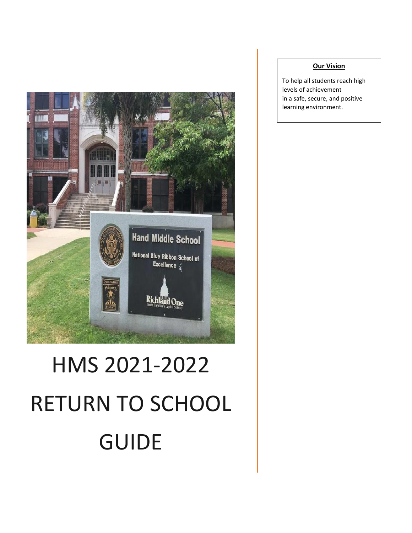

# HMS 2021-2022 RETURN TO SCHOOL GUIDE

#### **Our Vision**

To help all students reach high levels of achievement in a safe, secure, and positive learning environment.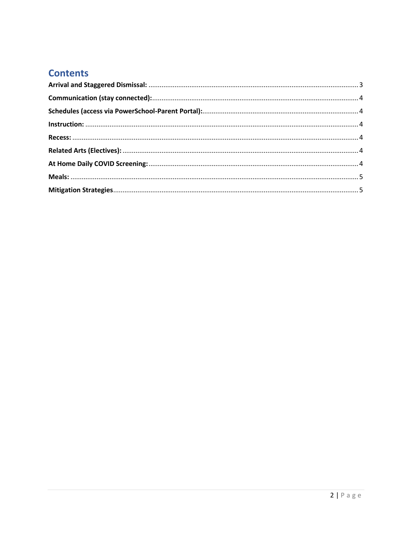# **Contents**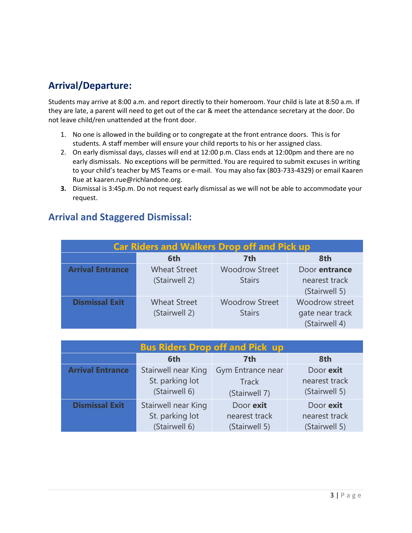# **Arrival/Departure:**

Students may arrive at 8:00 a.m. and report directly to their homeroom. Your child is late at 8:50 a.m. If they are late, a parent will need to get out of the car & meet the attendance secretary at the door. Do not leave child/ren unattended at the front door.

- 1. No one is allowed in the building or to congregate at the front entrance doors. This is for students. A staff member will ensure your child reports to his or her assigned class.
- 2. On early dismissal days, classes will end at 12:00 p.m. Class ends at 12:00pm and there are no early dismissals. No exceptions will be permitted. You are required to submit excuses in writing to your child's teacher by MS Teams or e-mail. You may also fax (803-733-4329) or email Kaaren Rue at kaaren.rue@richlandone.org.
- **3.** Dismissal is 3:45p.m. Do not request early dismissal as we will not be able to accommodate your request.

#### **Car Riders and Walkers Drop off and Pick up 6th 7th 8th Arrival Entrance** Wheat Street (Stairwell 2) Woodrow Street **Stairs** Door **entrance** nearest track (Stairwell 5) **Dismissal Exit** Wheat Street (Stairwell 2) Woodrow Street **Stairs** Woodrow street gate near track (Stairwell 4)

# <span id="page-2-0"></span>**Arrival and Staggered Dismissal:**

| <b>Bus Riders Drop off and Pick up</b> |                     |                   |               |  |  |
|----------------------------------------|---------------------|-------------------|---------------|--|--|
|                                        | 6th                 | 7th               | 8th           |  |  |
| <b>Arrival Entrance</b>                | Stairwell near King | Gym Entrance near | Door exit     |  |  |
|                                        | St. parking lot     | <b>Track</b>      | nearest track |  |  |
|                                        | (Stairwell 6)       | (Stairwell 7)     | (Stairwell 5) |  |  |
| <b>Dismissal Exit</b>                  | Stairwell near King | Door exit         | Door exit     |  |  |
|                                        | St. parking lot     | nearest track     | nearest track |  |  |
|                                        | (Stairwell 6)       | (Stairwell 5)     | (Stairwell 5) |  |  |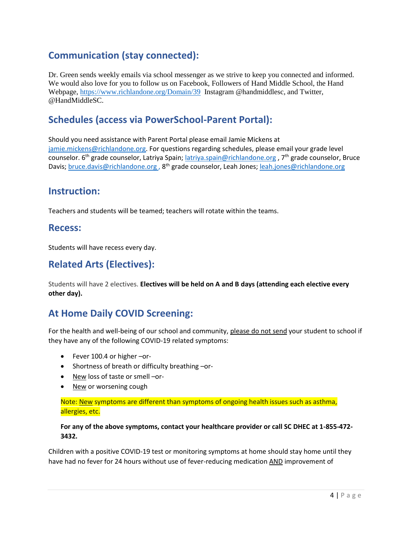# <span id="page-3-0"></span>**Communication (stay connected):**

Dr. Green sends weekly emails via school messenger as we strive to keep you connected and informed. We would also love for you to follow us on Facebook, Followers of Hand Middle School, the Hand Webpage, <https://www.richlandone.org/Domain/39> Instagram @handmiddlesc, and Twitter, @HandMiddleSC.

# <span id="page-3-1"></span>**Schedules (access via PowerSchool-Parent Portal):**

Should you need assistance with Parent Portal please email Jamie Mickens at [jamie.mickens@richlandone.org.](mailto:jamie.mickens@richlandone.org) For questions regarding schedules, please email your grade level counselor.  $6<sup>th</sup>$  grade counselor, Latriya Spain; [latriya.spain@richlandone.org](mailto:latriya.spain@richlandone.org) , 7<sup>th</sup> grade counselor, Bruce Davis; [bruce.davis@richlandone.org](mailto:bruce.davis@richlandone.org)., 8<sup>th</sup> grade counselor, Leah Jones; [leah.jones@richlandone.org](mailto:leah.jones@richlandone.org)

#### <span id="page-3-2"></span>**Instruction:**

Teachers and students will be teamed; teachers will rotate within the teams.

#### <span id="page-3-3"></span>**Recess:**

Students will have recess every day.

# <span id="page-3-4"></span>**Related Arts (Electives):**

Students will have 2 electives. **Electives will be held on A and B days (attending each elective every other day).**

# <span id="page-3-5"></span>**At Home Daily COVID Screening:**

For the health and well-being of our school and community, please do not send your student to school if they have any of the following COVID-19 related symptoms:

- Fever 100.4 or higher -or-
- Shortness of breath or difficulty breathing -or-
- New loss of taste or smell –or-
- New or worsening cough

#### Note: New symptoms are different than symptoms of ongoing health issues such as asthma, allergies, etc.

#### **For any of the above symptoms, contact your healthcare provider or call SC DHEC at 1-855-472- 3432.**

Children with a positive COVID-19 test or monitoring symptoms at home should stay home until they have had no fever for 24 hours without use of fever-reducing medication AND improvement of